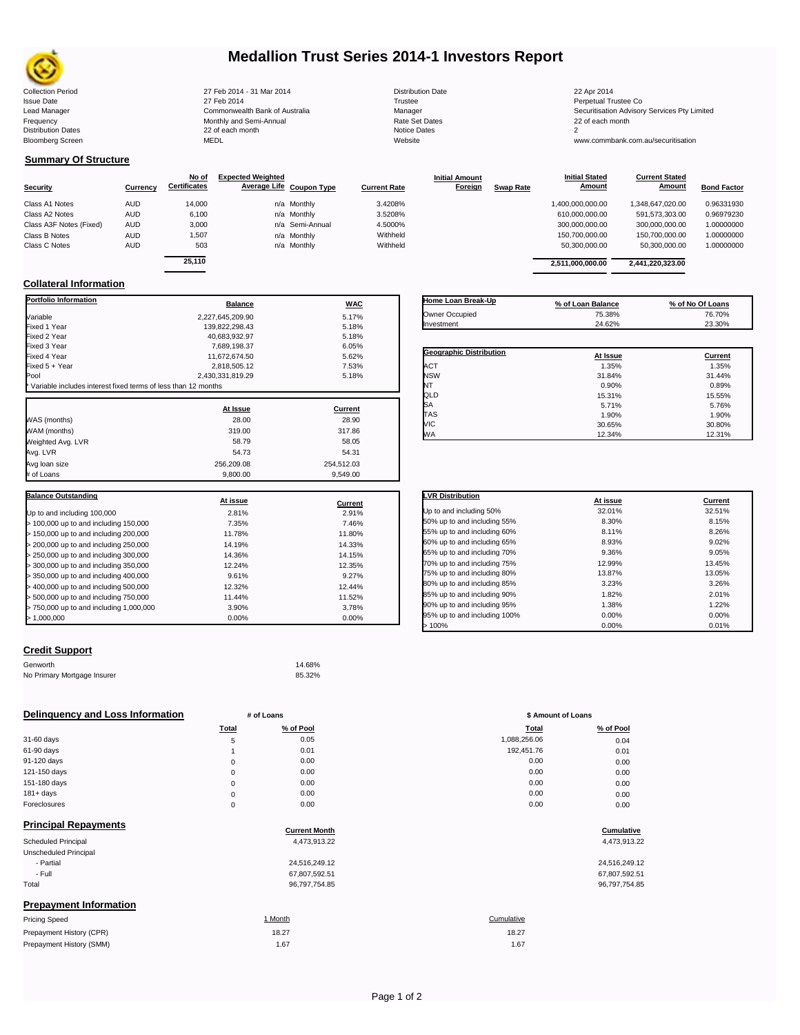

# **Medallion Trust Series 2014-1 Investors Report**

| <b>Collection Period</b>  | 27 Feb 2014 - 31 Mar 2014      | <b>Distribution Date</b> | 22 Apr 2014                             |
|---------------------------|--------------------------------|--------------------------|-----------------------------------------|
| <b>Issue Date</b>         | 27 Feb 2014                    | Trustee                  | Perpetual Trustee Co                    |
| Lead Manager              | Commonwealth Bank of Australia | Manager                  | Securitisation Advisory Services Pty Li |
| Frequency                 | Monthly and Semi-Annual        | <b>Rate Set Dates</b>    | 22 of each month                        |
| <b>Distribution Dates</b> | 22 of each month               | Notice Dates             |                                         |
| <b>Bloomberg Screen</b>   | MEDL                           | Website                  | www.commbank.com.au/securitisation      |
|                           |                                |                          |                                         |

**Current Stated** 

## **Summary Of Structure**

|                         |            | No of               | <b>Expected Weighted</b> |                     | <b>Initial Amount</b> |                  | <b>Initial Stated</b> | <b>Current Stated</b> |                    |
|-------------------------|------------|---------------------|--------------------------|---------------------|-----------------------|------------------|-----------------------|-----------------------|--------------------|
| <b>Security</b>         | Currency   | <b>Certificates</b> | Average Life Coupon Type | <b>Current Rate</b> | Foreign               | <b>Swap Rate</b> | <b>Amount</b>         | Amount                | <b>Bond Factor</b> |
| Class A1 Notes          | <b>AUD</b> | 14,000              | n/a Monthly              | 3.4208%             |                       |                  | 1,400,000,000.00      | 1,348,647,020.00      | 0.96331930         |
| Class A2 Notes          | <b>AUD</b> | 6,100               | n/a Monthly              | 3.5208%             |                       |                  | 610,000,000.00        | 591,573,303.00        | 0.96979230         |
| Class A3F Notes (Fixed) | AUD        | 3,000               | n/a Semi-Annual          | 4.5000%             |                       |                  | 300,000,000.00        | 300,000,000.00        | 1.00000000         |
| Class B Notes           | <b>AUD</b> | 1,507               | n/a Monthly              | Withheld            |                       |                  | 150.700.000.00        | 150.700.000.00        | 1.00000000         |
| Class C Notes           | <b>AUD</b> | 503                 | n/a Monthly              | Withheld            |                       |                  | 50,300,000.00         | 50.300.000.00         | 1.00000000         |
|                         |            | <b>OF 440</b>       |                          |                     |                       |                  |                       |                       |                    |

| 6.100            | n/a Monthly     | 3.5208%  |                    | 610.000.000.00    | 591.573.303.00   | 0.96979230       |
|------------------|-----------------|----------|--------------------|-------------------|------------------|------------------|
| 3.000            | n/a Semi-Annual | 4.5000%  |                    | 300,000,000.00    | 300.000.000.00   | 1.00000000       |
| 1,507            | n/a Monthly     | Withheld |                    | 150,700,000.00    | 150,700,000.00   | 1.00000000       |
| 503              | n/a Monthly     | Withheld |                    | 50.300.000.00     | 50.300.000.00    | 1.00000000       |
| 25.110           |                 |          |                    | 2,511,000,000.00  | 2,441,220,323.00 |                  |
|                  |                 |          |                    |                   |                  |                  |
| <b>Balance</b>   | <b>WAC</b>      |          | Home Loan Break-Up | % of Loan Balance |                  | % of No Of Loans |
| 2,227,645,209.90 | 5.17%           |          | Owner Occupied     | 75.38%            |                  | 76.70%           |
|                  |                 |          | Inventmont         | 24.0201           |                  | 22.2001          |

## **Collateral Information**

| <b>Portfolio Information</b>                                  | <b>Balance</b>   | <b>WAC</b> |
|---------------------------------------------------------------|------------------|------------|
| Variable                                                      | 2.227.645.209.90 | 5.17%      |
| Fixed 1 Year                                                  | 139,822,298.43   | 5.18%      |
| Fixed 2 Year                                                  | 40,683,932.97    | 5.18%      |
| Fixed 3 Year                                                  | 7,689,198.37     | 6.05%      |
| Fixed 4 Year                                                  | 11,672,674.50    | 5.62%      |
| Fixed 5 + Year                                                | 2,818,505.12     | 7.53%      |
| Pool                                                          | 2,430,331,819.29 | 5.18%      |
| Variable includes interest fixed terms of less than 12 months |                  |            |
|                                                               | At Issue         | Current    |
| WAS (months)                                                  | 28.00            | 28.90      |
| WAM (months)                                                  | 319.00           | 317.86     |
| Weighted Avg. LVR                                             | 58.79            | 58.05      |
| Avg. LVR                                                      | 54.73            | 54.31      |
| Avg loan size                                                 | 256.209.08       | 254,512.03 |
| # of Loans                                                    | 9,800.00         | 9.549.00   |
| <b>Balance Outstanding</b>                                    |                  |            |
|                                                               | At issue         | Current    |
| Up to and including 100,000                                   | 2.81%            | 2.91%      |
| > 100,000 up to and including 150,000                         | 7.35%            | 7.46%      |
| > 150,000 up to and including 200,000                         | 11.78%           | 11.80%     |
| > 200,000 up to and including 250,000                         | 14.19%           | 14.33%     |
| > 250,000 up to and including 300,000                         | 14.36%           | 14.15%     |
| > 300,000 up to and including 350,000                         | 12.24%           | 12.35%     |
| > 350,000 up to and including 400,000                         | 9.61%            | 9.27%      |
| > 400,000 up to and including 500,000                         | 12.32%           | 12.44%     |
| > 500,000 up to and including 750,000                         | 11.44%           | 11.52%     |
| > 750,000 up to and including 1,000,000                       | 3.90%            | 3.78%      |
| > 1,000,000                                                   | 0.00%            | 0.00%      |

#### **Geographic Distribution At Issue Current** <table>\n<tbody>\n<tr>\n<th>Geographic Distribution</th>\n<th>At Issue</th>\n<th>Current</th>\n</tr>\n<tr>\n<td>ACT</td>\n<td>1.35%</td>\n<td>1.35%</td>\n</tr>\n<tr>\n<td>NSW</td>\n<td>31.84%</td>\n<td>31.44%</td>\n</tr>\n</tbody>\n</table> NSW 31.84% 31.44% NT 0.90% 0.89% QLD 15.31% 15.55%  $SA$  5.76% 5.76% 5.76% TAS 1.90% 1.90% VIC 30.65% 30.80% WA 12.34% 12.31% Owner Occupied 75.38% 76.70% Investment 24.62% 23.30%

| <b>LVR Distribution</b>      | At issue | Current |
|------------------------------|----------|---------|
| Up to and including 50%      | 32.01%   | 32.51%  |
| 50% up to and including 55%  | 8.30%    | 8.15%   |
|                              |          |         |
| 55% up to and including 60%  | 8.11%    | 8.26%   |
| 60% up to and including 65%  | 8.93%    | 9.02%   |
| 65% up to and including 70%  | 9.36%    | 9.05%   |
| 70% up to and including 75%  | 12.99%   | 13.45%  |
| 75% up to and including 80%  | 13.87%   | 13.05%  |
| 80% up to and including 85%  | 3.23%    | 3.26%   |
| 85% up to and including 90%  | 1.82%    | 2.01%   |
| 90% up to and including 95%  | 1.38%    | 1.22%   |
| 95% up to and including 100% | 0.00%    | 0.00%   |
| >100%                        | 0.00%    | 0.01%   |

## **Credit Support**

Prepayment History (SMM)

| Genworth                    | 14.68% |
|-----------------------------|--------|
| No Primary Mortgage Insurer | 85.32% |

| Delinquency and Loss Information |              | # of Loans           | \$ Amount of Loans |               |  |
|----------------------------------|--------------|----------------------|--------------------|---------------|--|
|                                  | <b>Total</b> | % of Pool            | Total              | % of Pool     |  |
| 31-60 days                       | 5            | 0.05                 | 1,088,256.06       | 0.04          |  |
| 61-90 days                       |              | 0.01                 | 192,451.76         | 0.01          |  |
| 91-120 days                      | $\mathbf 0$  | 0.00                 | 0.00               | 0.00          |  |
| 121-150 days                     | $\mathbf 0$  | 0.00                 | 0.00               | 0.00          |  |
| 151-180 days                     | $\mathbf 0$  | 0.00                 | 0.00               | 0.00          |  |
| $181 + days$                     | $\mathbf 0$  | 0.00                 | 0.00               | 0.00          |  |
| Foreclosures                     | $\mathbf 0$  | 0.00                 | 0.00               | 0.00          |  |
| <b>Principal Repayments</b>      |              |                      |                    |               |  |
|                                  |              | <b>Current Month</b> |                    | Cumulative    |  |
| Scheduled Principal              |              | 4,473,913.22         |                    | 4,473,913.22  |  |
| Unscheduled Principal            |              |                      |                    |               |  |
| - Partial                        |              | 24,516,249.12        |                    | 24,516,249.12 |  |
| - Full                           |              | 67,807,592.51        |                    | 67,807,592.51 |  |
| Total                            |              | 96,797,754.85        |                    | 96,797,754.85 |  |
| <b>Prepayment Information</b>    |              |                      |                    |               |  |
| <b>Pricing Speed</b>             |              | 1 Month              | Cumulative         |               |  |
| Prepayment History (CPR)         |              | 18.27                | 18.27              |               |  |

1.67 1.67